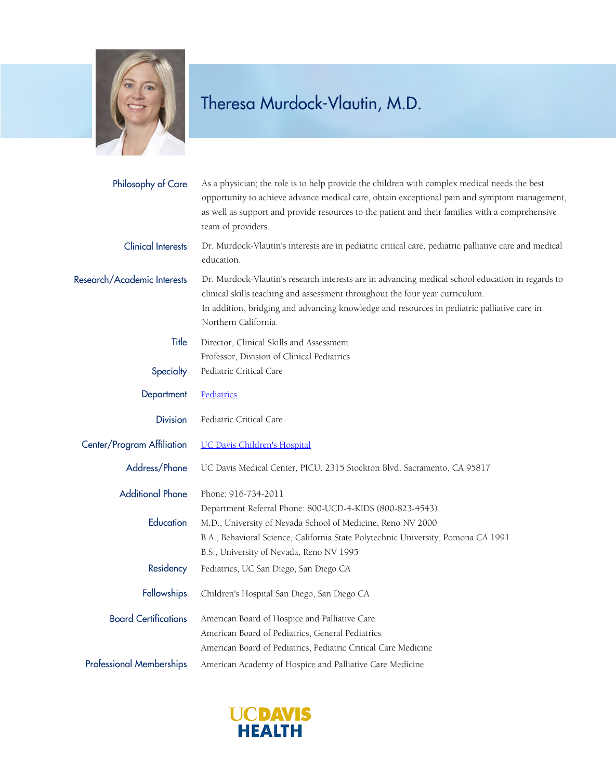

## Theresa Murdock-Vlautin, M.D.

| Philosophy of Care              | As a physician; the role is to help provide the children with complex medical needs the best<br>opportunity to achieve advance medical care, obtain exceptional pain and symptom management,<br>as well as support and provide resources to the patient and their families with a comprehensive<br>team of providers. |
|---------------------------------|-----------------------------------------------------------------------------------------------------------------------------------------------------------------------------------------------------------------------------------------------------------------------------------------------------------------------|
| <b>Clinical Interests</b>       | Dr. Murdock-Vlautin's interests are in pediatric critical care, pediatric palliative care and medical<br>education.                                                                                                                                                                                                   |
| Research/Academic Interests     | Dr. Murdock-Vlautin's research interests are in advancing medical school education in regards to<br>clinical skills teaching and assessment throughout the four year curriculum.<br>In addition, bridging and advancing knowledge and resources in pediatric palliative care in<br>Northern California.               |
| Title                           | Director, Clinical Skills and Assessment                                                                                                                                                                                                                                                                              |
|                                 | Professor, Division of Clinical Pediatrics                                                                                                                                                                                                                                                                            |
| Specialty                       | Pediatric Critical Care                                                                                                                                                                                                                                                                                               |
| Department                      | Pediatrics                                                                                                                                                                                                                                                                                                            |
| <b>Division</b>                 | Pediatric Critical Care                                                                                                                                                                                                                                                                                               |
| Center/Program Affiliation      | <b>UC Davis Children's Hospital</b>                                                                                                                                                                                                                                                                                   |
| Address/Phone                   | UC Davis Medical Center, PICU, 2315 Stockton Blvd. Sacramento, CA 95817                                                                                                                                                                                                                                               |
| <b>Additional Phone</b>         | Phone: 916-734-2011                                                                                                                                                                                                                                                                                                   |
|                                 | Department Referral Phone: 800-UCD-4-KIDS (800-823-4543)                                                                                                                                                                                                                                                              |
| Education                       | M.D., University of Nevada School of Medicine, Reno NV 2000                                                                                                                                                                                                                                                           |
|                                 | B.A., Behavioral Science, California State Polytechnic University, Pomona CA 1991                                                                                                                                                                                                                                     |
|                                 | B.S., University of Nevada, Reno NV 1995                                                                                                                                                                                                                                                                              |
| Residency                       | Pediatrics, UC San Diego, San Diego CA                                                                                                                                                                                                                                                                                |
| Fellowships                     | Children's Hospital San Diego, San Diego CA                                                                                                                                                                                                                                                                           |
| <b>Board Certifications</b>     | American Board of Hospice and Palliative Care                                                                                                                                                                                                                                                                         |
|                                 | American Board of Pediatrics, General Pediatrics                                                                                                                                                                                                                                                                      |
|                                 | American Board of Pediatrics, Pediatric Critical Care Medicine                                                                                                                                                                                                                                                        |
| <b>Professional Memberships</b> | American Academy of Hospice and Palliative Care Medicine                                                                                                                                                                                                                                                              |